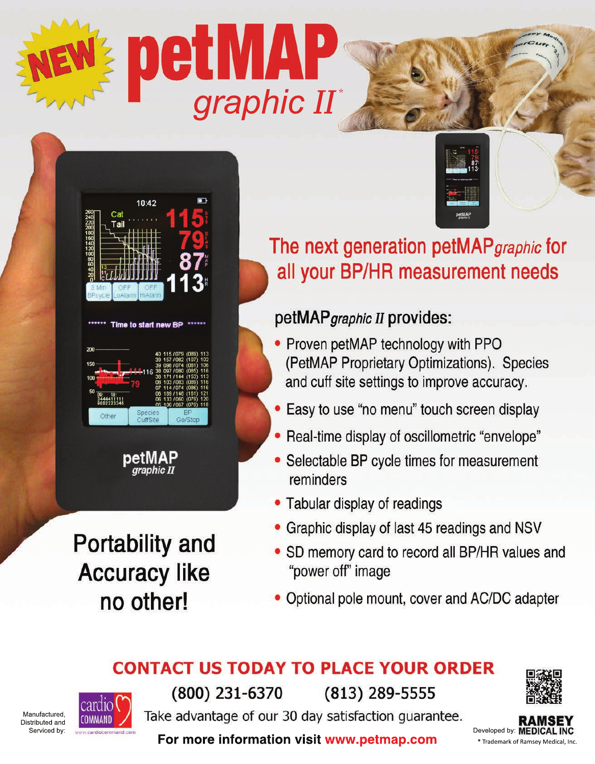



| 5C<br>9002223345  | 06 189 / 148 (161) 12<br>06 133 / 060 (079) 12<br>05 100 / 067 (079) 11                                                                                                           |
|-------------------|-----------------------------------------------------------------------------------------------------------------------------------------------------------------------------------|
| 200<br>150<br>100 | 40 115 / 079 (089) 11<br>39 157 / 082 (107) 10<br>39 098 / 074 (081) 10<br>38 097 / 080 (085) 11<br>38 171 / 144 (153) 11<br>08 103 / 083 (089)<br>$-11$<br>07 114 / 074 (086) 11 |

Time to start new

petMAP graphic II

**Portability and Accuracy like** no other!



The next generation petMAP graphic for all your BP/HR measurement needs

#### petMAP graphic II provides:

- Proven petMAP technology with PPO (PetMAP Proprietary Optimizations). Species and cuff site settings to improve accuracy.
- Easy to use "no menu" touch screen display
- Real-time display of oscillometric "envelope"
- Selectable BP cycle times for measurement reminders
- Tabular display of readings
- Graphic display of last 45 readings and NSV
- SD memory card to record all BP/HR values and "power off" image
- Optional pole mount, cover and AC/DC adapter

#### **CONTACT US TODAY TO PLACE YOUR ORDER**



Manufactured Distributed and Serviced by:



(800) 231-6370

 $(813)$  289-5555

Take advantage of our 30 day satisfaction guarantee.



For more information visit www.petmap.com